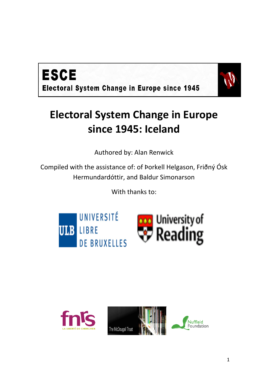



# **Electoral System Change in Europe since 1945: Iceland**

Authored by: Alan Renwick

Compiled with the assistance of: of Þorkell Helgason, Friðný Ósk Hermundardóttir, and Baldur Simonarson

With thanks to:





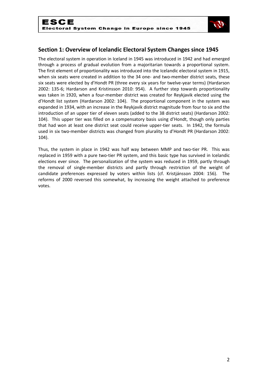

# **Section 1: Overview of Icelandic Electoral System Changes since 1945**

The electoral system in operation in Iceland in 1945 was introduced in 1942 and had emerged through a process of gradual evolution from a majoritarian towards a proportional system. The first element of proportionality was introduced into the Icelandic electoral system in 1915, when six seats were created in addition to the 34 one- and two-member district seats, these six seats were elected by d'Hondt PR (three every six years for twelve-year terms) (Hardarson 2002: 135-6; Hardarson and Kristinsson 2010: 954). A further step towards proportionality was taken in 1920, when a four-member district was created for Reykjavik elected using the d'Hondt list system (Hardarson 2002: 104). The proportional component in the system was expanded in 1934, with an increase in the Reykjavik district magnitude from four to six and the introduction of an upper tier of eleven seats (added to the 38 district seats) (Hardarson 2002: 104). This upper tier was filled on a compensatory basis using d'Hondt, though only parties that had won at least one district seat could receive upper-tier seats. In 1942, the formula used in six two-member districts was changed from plurality to d'Hondt PR (Hardarson 2002: 104).

Thus, the system in place in 1942 was half way between MMP and two-tier PR. This was replaced in 1959 with a pure two-tier PR system, and this basic type has survived in Icelandic elections ever since. The personalization of the system was reduced in 1959, partly through the removal of single-member districts and partly through restriction of the weight of candidate preferences expressed by voters within lists (cf. Kristjánsson 2004: 156). The reforms of 2000 reversed this somewhat, by increasing the weight attached to preference votes.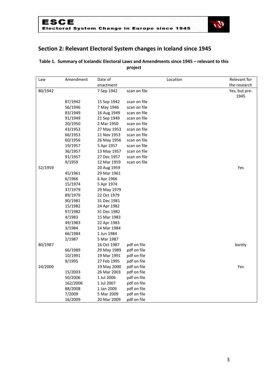

# **Section 2: Relevant Electoral System changes in Iceland since 1945**

# **Table 1. Summary of Icelandic Electoral Laws and Amendments since 1945 – relevant to this project**

| Law     | Amendment | Date of     |              | Location | Relevant for  |
|---------|-----------|-------------|--------------|----------|---------------|
|         |           | enactment   |              |          | the research  |
| 80/1942 |           | 7 Sep 1942  | scan on file |          | Yes, but pre- |
|         |           |             |              |          | 1945          |
|         | 87/1942   | 15 Sep 1942 | scan on file |          |               |
|         | 56/1946   | 7 May 1946  | scan on file |          |               |
|         | 83/1949   | 16 Aug 1949 | scan on file |          |               |
|         | 91/1949   | 21 Sep 1949 | scan on file |          |               |
|         | 20/1950   | 2 Mar 1950  | scan on file |          |               |
|         | 43/1953   | 27 May 1953 | scan on file |          |               |
|         | 66/1953   | 11 Nov 1953 | scan on file |          |               |
|         | 60/1956   | 26 May 1956 | scan on file |          |               |
|         | 19/1957   | 5 Apr 1957  | scan on file |          |               |
|         | 36/1957   | 13 May 1957 | scan on file |          |               |
|         | 91/1957   | 27 Dec 1957 | scan on file |          |               |
|         | 9/1959    | 12 Mar 1959 | scan on file |          |               |
| 52/1959 |           | 20 Aug 1959 |              |          | Yes           |
|         | 45/1961   | 29 Mar 1961 |              |          |               |
|         | 6/1966    | 6 Apr 1966  |              |          |               |
|         | 15/1974   | 5 Apr 1974  |              |          |               |
|         | 37/1979   | 29 May 1979 |              |          |               |
|         | 89/1979   | 22 Oct 1979 |              |          |               |
|         | 90/1981   | 31 Dec 1981 |              |          |               |
|         | 15/1982   | 24 Apr 1982 |              |          |               |
|         | 97/1982   | 31 Dec 1982 |              |          |               |
|         | 4/1983    | 15 Mar 1983 |              |          |               |
|         | 49/1983   | 22 Apr 1983 |              |          |               |
|         | 3/1984    | 14 Mar 1984 |              |          |               |
|         | 66/1984   | 1 Jun 1984  |              |          |               |
|         | 2/1987    | 5 Mar 1987  |              |          |               |
| 80/1987 |           | 16 Oct 1987 | pdf on file  |          | barely        |
|         | 66/1989   | 29 May 1989 | pdf on file  |          |               |
|         | 10/1991   | 19 Mar 1991 | pdf on file  |          |               |
|         | 9/1995    | 27 Feb 1995 | pdf on file  |          |               |
| 24/2000 |           | 19 May 2000 | pdf on file  |          | Yes           |
|         | 15/2003   | 26 Mar 2003 | pdf on file  |          |               |
|         | 50/2006   | 1 Jul 2006  | pdf on file  |          |               |
|         | 162/2006  | 1 Jul 2007  | pdf on file  |          |               |
|         | 88/2008   | 1 Jan 2009  | pdf on file  |          |               |
|         | 7/2009    | 5 Mar 2009  | pdf on file  |          |               |
|         | 16/2009   | 20 Mar 2009 | pdf on file  |          |               |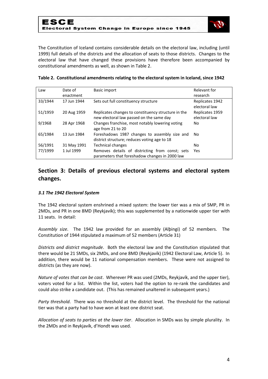

The Constitution of Iceland contains considerable details on the electoral law, including (until 1999) full details of the districts and the allocation of seats to those districts. Changes to the electoral law that have changed these provisions have therefore been accompanied by constitutional amendments as well, as shown in Table 2.

| Law     | Date of     | Basic import                                                                                      | Relevant for                     |
|---------|-------------|---------------------------------------------------------------------------------------------------|----------------------------------|
|         | enactment   |                                                                                                   | research                         |
| 33/1944 | 17 Jun 1944 | Sets out full constituency structure                                                              | Replicates 1942<br>electoral law |
| 51/1959 | 20 Aug 1959 | Replicates changes to constituency structure in the<br>new electoral law passed on the same day   | Replicates 1959<br>electoral law |
| 9/1968  | 28 Apr 1968 | Changes franchise, most notably lowering voting<br>age from 21 to 20                              | No.                              |
| 65/1984 | 13 Jun 1984 | Foreshadows 1987 changes to assembly size and<br>district structure; reduces voting age to 18     | No.                              |
| 56/1991 | 31 May 1991 | <b>Technical changes</b>                                                                          | No.                              |
| 77/1999 | 1 Jul 1999  | Removes details of districting from const; sets<br>parameters that foreshadow changes in 2000 law | <b>Yes</b>                       |

## **Table 2. Constitutional amendments relating to the electoral system in Iceland, since 1942**

# **Section 3: Details of previous electoral systems and electoral system changes.**

## *3.1 The 1942 Electoral System*

The 1942 electoral system enshrined a mixed system: the lower tier was a mix of SMP, PR in 2MDs, and PR in one 8MD (Reykjavík); this was supplemented by a nationwide upper tier with 11 seats. In detail:

*Assembly size*. The 1942 law provided for an assembly (Alþingi) of 52 members. The Constitution of 1944 stipulated a maximum of 52 members (Article 31)

*Districts and district magnitude*. Both the electoral law and the Constitution stipulated that there would be 21 SMDs, six 2MDs, and one 8MD (Reykjavík) (1942 Electoral Law, Article 5). In addition, there would be 11 national compensation members. These were not assigned to districts (as they are now).

*Nature of votes that can be cast*. Wherever PR was used (2MDs, Reykjavík, and the upper tier), voters voted for a list. Within the list, voters had the option to re-rank the candidates and could also strike a candidate out. (This has remained unaltered in subsequent years.)

*Party threshold*. There was no threshold at the district level. The threshold for the national tier was that a party had to have won at least one district seat.

*Allocation of seats to parties at the lower tier*. Allocation in SMDs was by simple plurality. In the 2MDs and in Reykjavík, d'Hondt was used.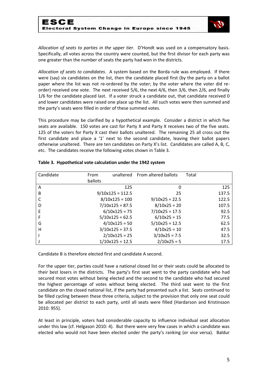

*Allocation of seats to parties in the upper tier*. D'Hondt was used on a compensatory basis. Specifically, all votes across the country were counted, but the first divisor for each party was one greater than the number of seats the party had won in the districts.

*Allocation of seats to candidates*. A system based on the Borda rule was employed. If there were (say) six candidates on the list, then the candidate placed first (by the party on a ballot paper where the list was not re-ordered by the voter; by the voter where the voter did reorder) received one vote. The next received 5/6, the next 4/6, then 3/6, then 2/6, and finally 1/6 for the candidate placed last. If a voter struck a candidate out, that candidate received 0 and lower candidates were raised one place up the list. All such votes were then summed and the party's seats were filled in order of these summed votes.

This procedure may be clarified by a hypothetical example. Consider a district in which five seats are available. 150 votes are cast for Party X and Party X receives two of the five seats. 125 of the voters for Party X cast their ballots unaltered. The remaining 25 all cross out the first candidate and place a '1' next to the second candidate, leaving their ballot papers otherwise unaltered. There are ten candidates on Party X's list. Candidates are called A, B, C, etc. The candidates receive the following votes shown in Table 3.

| Candidate | From    | unaltered          | From altered ballots | Total |
|-----------|---------|--------------------|----------------------|-------|
|           | ballots |                    |                      |       |
| A         |         | 125                | 0                    | 125   |
| B         |         | $9/10x125 = 112.5$ | 25                   | 137.5 |
|           |         | $8/10x125 = 100$   | $9/10x25 = 22.5$     | 122.5 |
| D         |         | $7/10x125 = 87.5$  | $8/10x25 = 20$       | 107.5 |
| E         |         | $6/10x125 = 75$    | $7/10x25 = 17.5$     | 92.5  |
|           |         | $5/10x125 = 62.5$  | $6/10x25 = 15$       | 77.5  |
| G         |         | $4/10x125 = 50$    | $5/10x25 = 12.5$     | 62.5  |
| н         |         | $3/10x125 = 37.5$  | $4/10x25 = 10$       | 47.5  |
|           |         | $2/10x125 = 25$    | $3/10x25 = 7.5$      | 32.5  |
|           |         | $1/10x125 = 12.5$  | $2/10x25 = 5$        | 17.5  |

## **Table 3. Hypothetical vote calculation under the 1942 system**

Candidate B is therefore elected first and candidate A second.

For the upper tier, parties could have a national closed list or their seats could be allocated to their best losers in the districts. The party's first seat went to the party candidate who had secured most votes without being elected and the second to the candidate who had secured the highest percentage of votes without being elected. The third seat went to the first candidate on the closed national list, if the party had presented such a list. Seats continued to be filled cycling between these three criteria, subject to the provision that only one seat could be allocated per district to each party, until all seats were filled (Hardarson and Kristinsson 2010: 955).

At least in principle, voters had considerable capacity to influence individual seat allocation under this law (cf. Helgason 2010: 4). But there were very few cases in which a candidate was elected who would not have been elected under the party's ranking (or vice versa). Baldur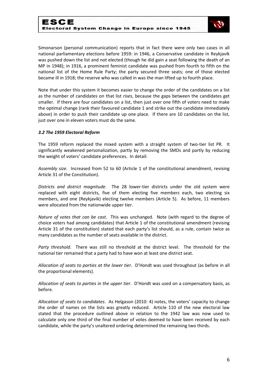

Simonarson (personal communication) reports that in fact there were only two cases in all national parliamentary elections before 1959: in 1946, a Conservative candidate in Reykjavík was pushed down the list and not elected (though he did gain a seat following the death of an MP in 1948); in 1916, a prominent feminist candidate was pushed from fourth to fifth on the national list of the Home Rule Party; the party secured three seats; one of those elected became ill in 1918; the reserve who was called in was the man lifted up to fourth place.

Note that under this system it becomes easier to change the order of the candidates on a list as the number of candidates on that list *rises*, because the gaps between the candidates get smaller. If there are four candidates on a list, then just over one fifth of voters need to make the optimal change (rank their favoured candidate 1 and strike out the candidate immediately above) in order to push their candidate up one place. If there are 10 candidates on the list, just over one in eleven voters must do the same.

## *3.2 The 1959 Electoral Reform*

The 1959 reform replaced the mixed system with a straight system of two-tier list PR. It significantly weakened personalization, partly by removing the SMDs and partly by reducing the weight of voters' candidate preferences. In detail:

*Assembly size*. Increased from 52 to 60 (Article 1 of the constitutional amendment, revising Article 31 of the Constitution).

*Districts and district magnitude*. The 28 lower-tier districts under the old system were replaced with eight districts, five of them electing five members each, two electing six members, and one (Reykjavík) electing twelve members (Article 5). As before, 11 members were allocated from the nationwide upper tier.

*Nature of votes that can be cast*. This was unchanged. Note (with regard to the degree of choice voters had among candidates) that Article 1 of the constitutional amendment (revising Article 31 of the constitution) stated that each party's list should, as a rule, contain twice as many candidates as the number of seats available in the district.

*Party threshold*. There was still no threshold at the district level. The threshold for the national tier remained that a party had to have won at least one district seat.

*Allocation of seats to parties at the lower tier*. D'Hondt was used throughout (as before in all the proportional elements).

*Allocation of seats to parties in the upper tier*. D'Hondt was used on a compensatory basis, as before.

*Allocation of seats to candidates*. As Helgason (2010: 4) notes, the voters' capacity to change the order of names on the lists was greatly reduced. Article 110 of the new electoral law stated that the procedure outlined above in relation to the 1942 law was now used to calculate only one third of the final number of votes deemed to have been received by each candidate, while the party's unaltered ordering determined the remaining two thirds.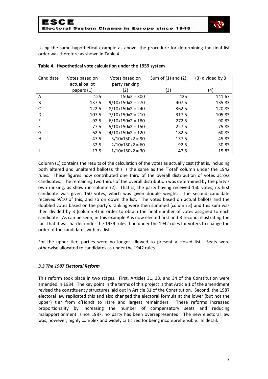

Using the same hypothetical example as above, the procedure for determining the final list order was therefore as shown in Table 4.

| Candidate | Votes based on | Votes based on     | Sum of $(1)$ and $(2)$ | (3) divided by 3 |
|-----------|----------------|--------------------|------------------------|------------------|
|           | actual ballot  | party ranking      |                        |                  |
|           | papers (1)     | 2)                 | (3)                    | (4)              |
| A         | 125            | $150x2 = 300$      | 425                    | 141.67           |
| B         | 137.5          | $9/10x150x2 = 270$ | 407.5                  | 135.83           |
|           | 122.5          | $8/10x150x2 = 240$ | 362.5                  | 120.83           |
| D         | 107.5          | $7/10x150x2 = 210$ | 317.5                  | 105.83           |
| E         | 92.5           | $6/10x150x2 = 180$ | 272.5                  | 90.83            |
| F         | 77.5           | $5/10x150x2 = 150$ | 227.5                  | 75.83            |
| G         | 62.5           | $4/10x150x2 = 120$ | 182.5                  | 60.83            |
| н         | 47.5           | $3/10x150x2 = 90$  | 137.5                  | 45.83            |
|           | 32.5           | $2/10x150x2 = 60$  | 92.5                   | 30.83            |
|           | 17.5           | $1/10x150x2 = 30$  | 47.5                   | 15.83            |

#### **Table 4. Hypothetical vote calculation under the 1959 system**

Column (1) contains the results of the calculation of the votes as actually cast (that is, including both altered and unaltered ballots): this is the same as the 'Total' column under the 1942 rules. These figures now contributed one third of the overall distribution of votes across candidates. The remaining two thirds of the overall distribution was determined by the party's own ranking, as shown in column (2). That is, the party having received 150 votes, its first candidate was given 150 votes, which was given double weight. The second candidate received 9/10 of this, and so on down the list. The votes based on actual ballots and the doubled votes based on the party's ranking were then summed (column 3) and this sum was then divided by 3 (column 4) in order to obtain the final number of votes assigned to each candidate. As can be seen, in this example A is now elected first and B second, illustrating the fact that it was harder under the 1959 rules than under the 1942 rules for voters to change the order of the candidates within a list.

For the upper tier, parties were no longer allowed to present a closed list. Seats were otherwise allocated to candidates as under the 1942 rules.

## *3.3 The 1987 Electoral Reform*

This reform took place in two stages. First, Articles 31, 33, and 34 of the Constitution were amended in 1984. The key point in the terms of this project is that Article 1 of the amendment revised the constituency structures laid out in Article 31 of the Constitution. Second, the 1987 electoral law replicated this and also changed the electoral formula at the lower (but not the upper) tier from d'Hondt to Hare and largest remainders. These reforms increased proportionality by increasing the number of compensatory seats and reducing malapportionment: since 1987, no party has been overrepresented. The new electoral law was, however, highly complex and widely criticized for being incomprehensible. In detail: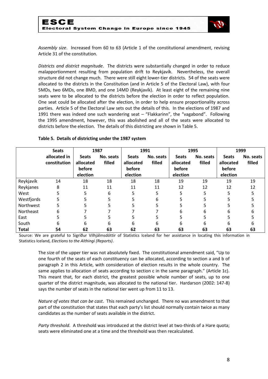

*Assembly size*. Increased from 60 to 63 (Article 1 of the constitutional amendment, revising Article 31 of the constitution.

*Districts and district magnitude*. The districts were substantially changed in order to reduce malapportionment resulting from population drift to Reykjavík. Nevertheless, the overall structure did not change much. There were still eight lower-tier districts. 54 of the seats were allocated to the districts in the Constitution (and in Article 5 of the Electoral Law), with four 5MDs, two 6MDs, one 8MD, and one 14MD (Reykjavík). At least eight of the remaining nine seats were to be allocated to the districts before the election in order to reflect population. One seat could be allocated after the election, in order to help ensure proportionality across parties. Article 5 of the Electoral Law sets out the details of this. In the elections of 1987 and 1991 there was indeed one such wandering seat – "Flakkarinn", the "vagabond". Following the 1995 amendment, however, this was abolished and all of the seats were allocated to districts before the election. The details of this districting are shown in Table 5.

|              | <b>Seats</b> | 1987         |           | 1991         |           | 1995         |           | 1999         |           |
|--------------|--------------|--------------|-----------|--------------|-----------|--------------|-----------|--------------|-----------|
|              | allocated in | <b>Seats</b> | No. seats | <b>Seats</b> | No. seats | <b>Seats</b> | No. seats | <b>Seats</b> | No. seats |
|              | constitution | allocated    | filled    | allocated    | filled    | allocated    | filled    | allocated    | filled    |
|              |              | before       |           | before       |           | before       |           | before       |           |
|              |              | election     |           | election     |           | election     |           | election     |           |
| Reykjavík    | 14           | 18           | 18        | 18           | 18        | 19           | 19        | 19           | 19        |
| Reykjanes    | 8            | 11           | 11        | 11           | 11        | 12           | 12        | 12           | 12        |
| West         | 5.           | 5.           | 6         | 5            | 5         | 5            | 5         | 5            |           |
| Westfjords   | 5            | 5.           | 5         |              | 6         | 5            | 5         | 5            |           |
| Northwest    | 5            |              |           |              |           |              |           |              |           |
| Northeast    | 6            |              |           |              |           | 6            | 6         | 6            | n         |
| East         | 5            | 5            | 5         |              | ר         | 5            | 5         | 5            |           |
| South        | 6            | 6            | 6         | 6            | 6         | 6            | 6         | 6            | h         |
| <b>Total</b> | 54           | 62           | 63        | 62           | 63        | 63           | 63        | 63           | 63        |

## **Table 5. Details of districting under the 1987 system**

Source: We are grateful to Sigríður Vilhjálmsdóttir of Statistics Iceland for her assistance in locating this information in Statistics Iceland, *Elections to the Althingi (Reports)*.

The size of the upper tier was not absolutely fixed. The constitutional amendment said, "Up to one fourth of the seats of each constituency can be allocated, according to section a and b of paragraph 2 in this Article, with consideration of election results in the whole country. The same applies to allocation of seats according to section c in the same paragraph." (Article 1c). This meant that, for each district, the greatest possible whole number of seats, up to one quarter of the district magnitude, was allocated to the national tier. Hardarson (2002: 147-8) says the number of seats in the national tier went up from 11 to 13.

*Nature of votes that can be cast*. This remained unchanged. There no was amendment to that part of the constitution that states that each party's list should normally contain twice as many candidates as the number of seats available in the district.

*Party threshold*. A threshold was introduced at the district level at two-thirds of a Hare quota; seats were eliminated one at a time and the threshold was then recalculated.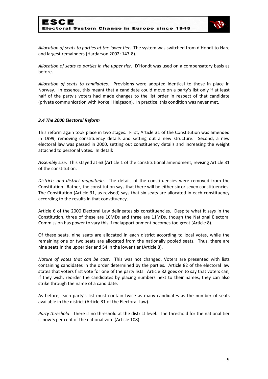

*Allocation of seats to parties at the lower tier*. The system was switched from d'Hondt to Hare and largest remainders (Hardarson 2002: 147-8).

*Allocation of seats to parties in the upper tier*. D'Hondt was used on a compensatory basis as before.

*Allocation of seats to candidates*. Provisions were adopted identical to those in place in Norway. In essence, this meant that a candidate could move on a party's list only if at least half of the party's voters had made changes to the list order in respect of that candidate (private communication with Þorkell Helgason). In practice, this condition was never met.

## *3.4 The 2000 Electoral Reform*

This reform again took place in two stages. First, Article 31 of the Constitution was amended in 1999, removing constituency details and setting out a new structure. Second, a new electoral law was passed in 2000, setting out constituency details and increasing the weight attached to personal votes. In detail:

*Assembly size*. This stayed at 63 (Article 1 of the constitutional amendment, revising Article 31 of the constitution.

*Districts and district magnitude*. The details of the constituencies were removed from the Constitution. Rather, the constitution says that there will be either six or seven constituencies. The Constitution (Article 31, as revised) says that six seats are allocated in each constituency according to the results in that constituency.

Article 6 of the 2000 Electoral Law delineates six constituencies. Despite what it says in the Constitution, three of these are 10MDs and three are 11MDs, though the National Electoral Commission has power to vary this if malapportionment becomes too great (Article 8).

Of these seats, nine seats are allocated in each district according to local votes, while the remaining one or two seats are allocated from the nationally pooled seats. Thus, there are nine seats in the upper tier and 54 in the lower tier (Article 8).

*Nature of votes that can be cast*. This was not changed. Voters are presented with lists containing candidates in the order determined by the parties. Article 82 of the electoral law states that voters first vote for one of the party lists. Article 82 goes on to say that voters can, if they wish, reorder the candidates by placing numbers next to their names; they can also strike through the name of a candidate.

As before, each party's list must contain twice as many candidates as the number of seats available in the district (Article 31 of the Electoral Law).

*Party threshold*. There is no threshold at the district level. The threshold for the national tier is now 5 per cent of the national vote (Article 108).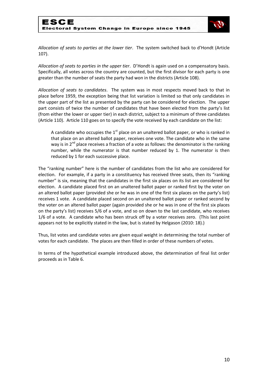

*Allocation of seats to parties at the lower tier*. The system switched back to d'Hondt (Article 107).

*Allocation of seats to parties in the upper tier*. D'Hondt is again used on a compensatory basis. Specifically, all votes across the country are counted, but the first divisor for each party is one greater than the number of seats the party had won in the districts (Article 108).

*Allocation of seats to candidates*. The system was in most respects moved back to that in place before 1959, the exception being that list variation is limited so that only candidates in the upper part of the list as presented by the party can be considered for election. The upper part consists of twice the number of candidates that have been elected from the party's list (from either the lower or upper tier) in each district, subject to a minimum of three candidates (Article 110). Article 110 goes on to specify the vote received by each candidate on the list:

A candidate who occupies the  $1<sup>st</sup>$  place on an unaltered ballot paper, or who is ranked in that place on an altered ballot paper, receives one vote. The candidate who in the same way is in  $2^{nd}$  place receives a fraction of a vote as follows: the denominator is the ranking number, while the numerator is that number reduced by 1. The numerator is then reduced by 1 for each successive place.

The "ranking number" here is the number of candidates from the list who are considered for election. For example, if a party in a constituency has received three seats, then its "ranking number" is six, meaning that the candidates in the first six places on its list are considered for election. A candidate placed first on an unaltered ballot paper or ranked first by the voter on an altered ballot paper (provided she or he was in one of the first six places on the party's list) receives 1 vote. A candidate placed second on an unaltered ballot paper or ranked second by the voter on an altered ballot paper (again provided she or he was in one of the first six places on the party's list) receives 5/6 of a vote, and so on down to the last candidate, who receives 1/6 of a vote. A candidate who has been struck off by a voter receives zero. (This last point appears not to be explicitly stated in the law, but is stated by Helgason (2010: 18).)

Thus, list votes and candidate votes are given equal weight in determining the total number of votes for each candidate. The places are then filled in order of these numbers of votes.

In terms of the hypothetical example introduced above, the determination of final list order proceeds as in Table 6.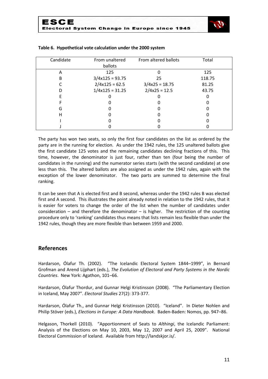

| Candidate | From altered ballots<br>From unaltered |                  | Total  |
|-----------|----------------------------------------|------------------|--------|
|           | ballots                                |                  |        |
| А         | 125                                    |                  | 125    |
| В         | $3/4x125 = 93.75$                      | 25               | 118.75 |
|           | $2/4x125 = 62.5$                       | $3/4x25 = 18.75$ | 81.25  |
|           | $1/4x125 = 31.25$                      | $2/4x25 = 12.5$  | 43.75  |
|           |                                        |                  |        |
|           |                                        |                  |        |
| G         |                                        |                  |        |
| Н         |                                        |                  |        |
|           |                                        |                  |        |
|           |                                        |                  |        |

#### **Table 6. Hypothetical vote calculation under the 2000 system**

The party has won two seats, so only the first four candidates on the list as ordered by the party are in the running for election. As under the 1942 rules, the 125 unaltered ballots give the first candidate 125 votes and the remaining candidates declining fractions of this. This time, however, the denominator is just four, rather than ten (four being the number of candidates in the running) and the numerator series starts (with the second candidate) at one less than this. The altered ballots are also assigned as under the 1942 rules, again with the exception of the lower denominator. The two parts are summed to determine the final ranking.

It can be seen that A is elected first and B second, whereas under the 1942 rules B was elected first and A second. This illustrates the point already noted in relation to the 1942 rules, that it is easier for voters to change the order of the list when the number of candidates under consideration – and therefore the denominator – is higher. The restriction of the counting procedure only to 'ranking' candidates thus means that lists remain less flexible than under the 1942 rules, though they are more flexible than between 1959 and 2000.

# **References**

Hardarson, Ólafur Th. (2002). "The Icelandic Electoral System 1844–1999", in Bernard Grofman and Arend Lijphart (eds.), *The Evolution of Electoral and Party Systems in the Nordic Countries*. New York: Agathon, 101–66.

Hardarson, Ólafur Thordur, and Gunnar Helgi Kristinsson (2008). "The Parliamentary Election in Iceland, May 2007". *Electoral Studies* 27(2): 373-377.

Hardarson, Ólafur Th., and Gunnar Helgi Kristinsson (2010). "Iceland". In Dieter Nohlen and Philip Stöver (eds.), *Elections in Europe: A Data Handbook*. Baden-Baden: Nomos, pp. 947–86.

Helgason, Thorkell (2010). "Apportionment of Seats to *Althingi*, the Icelandic Parliament: Analysis of the Elections on May 10, 2003, May 12, 2007 and April 25, 2009". National Electoral Commission of Iceland. Available from http://landskjor.is/.